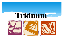



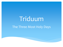#### The Three Most Holy Days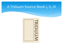### A Triduum Source Book I, II, III

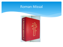#### Roman Missal

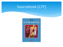### Sourcebook (LTP)





THE ALMANAC FOR PASTORAL LITURGY

 $\overline{\text{LT}}$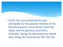Christ the Lord achieved His task principally by the paschal mystery of His blessed passion, resurrection from the dead, and the glorious ascension, whereby "dying, he destroyed our death and, rising, he restored our life" (SC #5)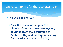#### Universal Norms for the Liturgical Year

#### **The Cycle of the Year**

 **Over the course of the year the Church celebrates the whole mystery of Christ, from the Incarnation to Pentecost Day and the days of waiting for the Advent of the Lord. (#17)**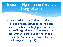Triduum – High point of the entire liturgical year!

 **the sacred Paschal Triduum of the Passion and Resurrection of the Lord shines forth as the high point of the entire liturgical year.21 Therefore the pre-eminence that Sunday has in the week, the Solemnity of Easter has in the liturgical year (#18)**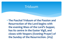**The Paschal Triduum of the Passion and Resurrection of the Lord begins with the evening Mass of the Lord's Supper, has its centre in the Easter Vigil, and closes with Vespers (Evening Prayer) of the Sunday of the Resurrection. (#19)**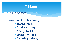#### **The Three Days**

 **Scriptural foreshadowing Exodus 3:16-18 Exodus 10:22-23 2 Kings 20: 1-5 Esther 4:15; 5:1-2 Genesis 42:, 6-7, 17**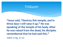**"Jesus said, "Destroy this temple, and in three days I will raise it up." He was speaking of the temple of his body. After he was raised from the dead, his disciples remembered that he had said this."**

John 2:19, 21-22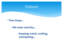

#### **Time Stops…**

**We enter eternity…**

\* Keeping watch, waiting, **anticipating…**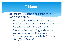- Eternal life is when things happen in God's good time…
	- When God in whom past, present and future are not merely *as* one but *are* one – breaks into our time.

Easter is the beginning and centre and summation of the whole Christian year, of the whole Christian life. (Mark Searle)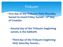**First day of the Triduum: Holy Thursday Sunset to Good Friday Sunset – 6 th Day of Creation**

 **Second day of the Triduum: beginning sunset, is the Sabbath.**

**Third day of the Triduum: beginning Holy Saturday Sunset...**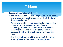#### **Baptism (Hippolytus, 3rd C)**

- **And let those who are to be baptised be instructed to wash and cleanse themselves on the fifth day of the week (Thursday).**
- **Those who are to receive baptism shall fast on the Preparation (Friday) and on the Sabbath (Saturday). And on the Sabbath the bishop shall assemble those who are to be baptised in one place, and shall bid them all to pray and bow the knee.**
- **And they shall spend all the night in vigil, reading the scriptures to them and instructing them.**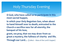#### Holy Thursday Evening

**O God, who have called us to participate in this most sacred Supper,** 

**in which your Only Begotten Son, when about to hand himself over to death, entrusted to the Church a sacrifice new for all eternity, the banquet of his love,**

**grant, we pray, that we may draw from so great a mystery, the fullness of charity and life. Through our Lord…** (Collect – Mass of the Lord's Supper)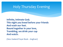### Holy Thursday Evening

**Infinite, intimate God; This night you kneel before your friends And wash our feet. Bound together in your love, Trembling, we drink your cup And watch.**

(New Zealand Prayer Book – Anglican)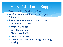### Mass of the Lord's Supper

**Take a Lamb… Exodus 12:1-8, 11-14**

- **As often as you do this… 1 Cor 11:23-26 … Philippart**
- **A New Commandment… John 13: 1-15**
	- **Jesus Poured Water**
	- **Washed My Feet**
	- **Gifts for the Poor**
	- **Divine Hospitality**
	- **Eating & Drinking**
	- **Silent Adoration – remaining; watching; praying**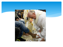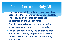#### Reception of the Holy Oils

- **The reception of the holy oils may take place before the Mass of the Lord's Supper on Holy Thursday or on another day after the celebration of the Chrism Mass**
- **The oils, in suitable vessels, are carried in procession by members of the assembly**
- **The oils are received by the priest and then placed on a suitably prepared table in the sanctuary or in the repository where they will be reserved**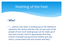### Washing of the Feet

#### **Who?**

 "… pastors may select a small group of the faithful to represent the variety and the unity of each part of the people of God. Such small groups can be made up of men and women, and it is appropriate that they consist of people young and old, healthy and sick, clerics, consecrated men and women and laity."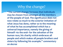### Why the change?

*\** **"The current change foresees that individuals may be chosen from amongst all the members of the people of God. The significance does not now relate so much to the exterior imitation of what Jesus has done, rather as to the meaning of what he has accomplished which has a universal importance, namely the giving of himself «to the end» for the salvation of the human race, his charity which embraces all people and which makes all people brothers and sisters by following his example."** *commentary on decree*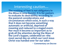**The washing of feet is not obligatory in the** *Missa in cena Domini***. It is for pastors to evaluate its desirability, according to the pastoral considerations and circumstances which exist, in such a way that it does not become something automatic or artificial, deprived of meaning and reduced to a staged event. Nor must it become so important as to grab all the attention during the Mass of the Lord's Supper, celebrated on «the most sacred day on which our Lord Jesus Christ was handed over for our sake»** Interesting caution…

*Commentary on Decree*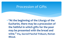#### Procession of Gifts

 **"At the beginning of the Liturgy of the Eucharist, there may be a procession of the faithful in which gifts for the poor may be presented with the bread and wine." #14, Sacred Paschal Triduum, Roman Missal.**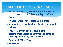#### Transfer of the Blessed Sacrament

- **After Communion, a ciborium with hosts for communion on the following day is left on the altar.**
- **Priest prayers Prayer after Communion**
- **Incense into thurible, then ciborium incensed 3 times**
- **Procession with candles and incense accompanies Blessed Sacrament to place of repose preceded by Cross bearer**
- **Tabernacle/Altar/Garden…**
- **Adoration**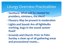### Liturgy Overview Practicalities

- **Vestiture: What will be needed for presiders, ministers, the elect?**
- **Flowers: May be present in moderation**
- **Lights and Sound: Are all lightbulbs working, bugs in the sound system fixed?**
- **Grounds and Church: Prior to Palm Sunday a clean up of all gathering areas and processional routes…**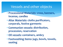#### Vessels and other objects

- **Processional Materials: cross, banners, incense, candles**
- **Altar Materials: cloths purificators, corporals, festive garments**
- **Communion vessels: distribution, procession, reservation**
- **Oil vessels: containers, ambry**
- **Footwashing items: jugs, bowls, towels, seating**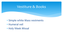#### Vestiture & Books

 Simple white Mass vestments Humeral veil \* Holy Week Missal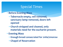### Special Times

- **Before Evening Mass**
	- **Tabernacle empty, veil removed, sanctuary lamp removed, doors left opened**
	- **Church stripped and cleaned, only materials need for the eucharist present.**
- **Evening Mass**
	- **Enough bread consecrated for 2nite/2morow**
	- **Chapel of Reservation**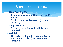### Special times cont..

#### **After Evening Mass**

- **Stripping of Altar and Church in dignified manner**
- **Furniture not fixed removed (credence tables…)**
- **Rugs removed**
- **Crosses removed or veiled, Holy water removed**
- **Midnight**
	- **All candles extinguished. (Other than at place of Reservation) All decorations removed.**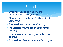#### Sounds

- **Entrance: Cross, salvation, life resurrection, saved, set free**
- **Gloria: church bells rung – then silent til Easter Vigil**
- **Footwashing (based on 1Cor 13:13)**
- **Procession of gifts for the poor (Ubi caritas)**
- **Communion: the body given, the cup poured**
- **Procession: 'Pange, lingua' – Euch hymn**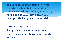**The Lord Jesus after eating with his friends, washed their feet and said to them: Do you know what I, your Lord, have done to you? I have given you example, that so you also should do.**

**1. You are my friends: And you can have no greater love than to give your life for your friends.**  *Refrain:*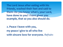**The Lord Jesus after eating with his friends, washed their feet and said to them: Do you know what I, your Lord, have done to you? I have given you example, that so you also should do.**

**2. Peace I leave with you, my peace I give to all who live with sincere love for everyone.** *Refrain:*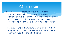#### When unsure…

Sometimes there are liturgical practices in parish communities which may not be ideal – please remember we are all trying to give praise and worship to God, and no doubt are seeking to encourage others to do the same. Let's be gentle on each other!

The Ritual of the Triduum liturgies are beautiful in their simplicity and fullness. If these are well prayed by the community, as they are, all will be well.